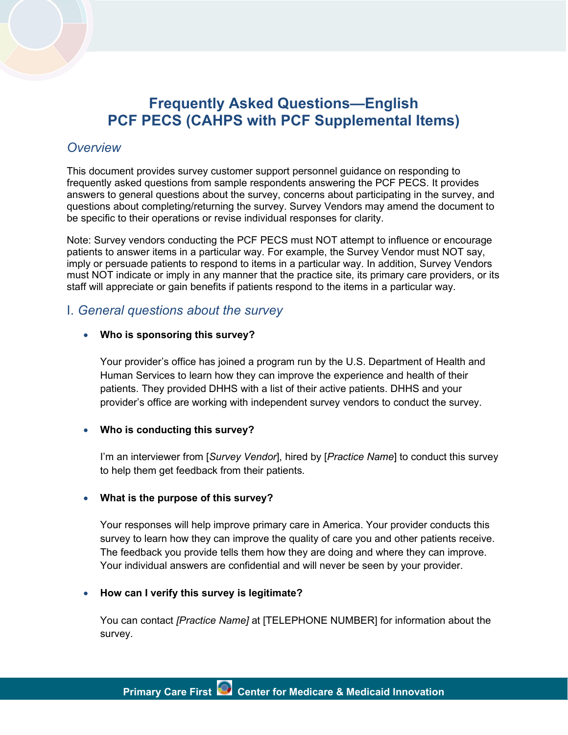

# *Overview*

This document provides survey customer support personnel guidance on responding to frequently asked questions from sample respondents answering the PCF PECS. It provides answers to general questions about the survey, concerns about participating in the survey, and questions about completing/returning the survey. Survey Vendors may amend the document to be specific to their operations or revise individual responses for clarity.

Note: Survey vendors conducting the PCF PECS must NOT attempt to influence or encourage patients to answer items in a particular way. For example, the Survey Vendor must NOT say, imply or persuade patients to respond to items in a particular way. In addition, Survey Vendors must NOT indicate or imply in any manner that the practice site, its primary care providers, or its staff will appreciate or gain benefits if patients respond to the items in a particular way.

# I. *General questions about the survey*

#### · **Who is sponsoring this survey?**

Your provider's office has joined a program run by the U.S. Department of Health and Human Services to learn how they can improve the experience and health of their patients. They provided DHHS with a list of their active patients. DHHS and your provider's office are working with independent survey vendors to conduct the survey.

#### · **Who is conducting this survey?**

I'm an interviewer from [*Survey Vendor*], hired by [*Practice Name*] to conduct this survey to help them get feedback from their patients.

#### · **What is the purpose of this survey?**

Your responses will help improve primary care in America. Your provider conducts this survey to learn how they can improve the quality of care you and other patients receive. The feedback you provide tells them how they are doing and where they can improve. Your individual answers are confidential and will never be seen by your provider.

#### · **How can I verify this survey is legitimate?**

You can contact *[Practice Name]* at [TELEPHONE NUMBER] for information about the survey.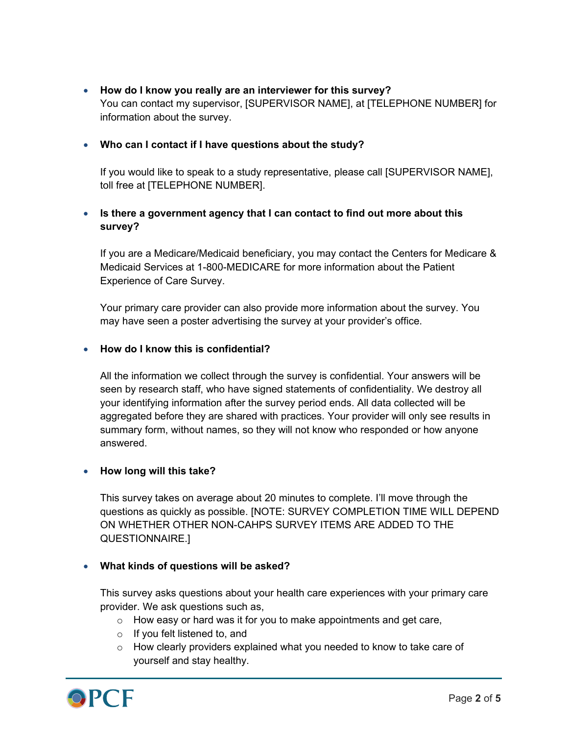· **How do I know you really are an interviewer for this survey?** You can contact my supervisor, [SUPERVISOR NAME], at [TELEPHONE NUMBER] for information about the survey.

### · **Who can I contact if I have questions about the study?**

If you would like to speak to a study representative, please call [SUPERVISOR NAME], toll free at [TELEPHONE NUMBER].

# · **Is there a government agency that I can contact to find out more about this survey?**

If you are a Medicare/Medicaid beneficiary, you may contact the Centers for Medicare & Medicaid Services at 1-800-MEDICARE for more information about the Patient Experience of Care Survey.

Your primary care provider can also provide more information about the survey. You may have seen a poster advertising the survey at your provider's office.

### · **How do I know this is confidential?**

All the information we collect through the survey is confidential. Your answers will be seen by research staff, who have signed statements of confidentiality. We destroy all your identifying information after the survey period ends. All data collected will be aggregated before they are shared with practices. Your provider will only see results in summary form, without names, so they will not know who responded or how anyone answered.

### · **How long will this take?**

This survey takes on average about 20 minutes to complete. I'll move through the questions as quickly as possible. [NOTE: SURVEY COMPLETION TIME WILL DEPEND ON WHETHER OTHER NON-CAHPS SURVEY ITEMS ARE ADDED TO THE QUESTIONNAIRE.]

### · **What kinds of questions will be asked?**

This survey asks questions about your health care experiences with your primary care provider. We ask questions such as,

- $\circ$  How easy or hard was it for you to make appointments and get care,
- o If you felt listened to, and
- o How clearly providers explained what you needed to know to take care of yourself and stay healthy.

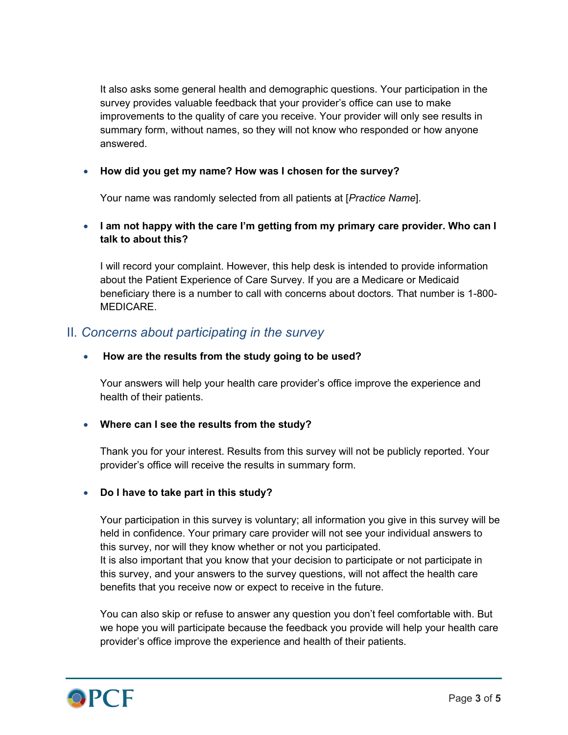It also asks some general health and demographic questions. Your participation in the survey provides valuable feedback that your provider's office can use to make improvements to the quality of care you receive. Your provider will only see results in summary form, without names, so they will not know who responded or how anyone answered.

## · **How did you get my name? How was I chosen for the survey?**

Your name was randomly selected from all patients at [*Practice Name*].

## · **I am not happy with the care I'm getting from my primary care provider. Who can I talk to about this?**

I will record your complaint. However, this help desk is intended to provide information about the Patient Experience of Care Survey. If you are a Medicare or Medicaid beneficiary there is a number to call with concerns about doctors. That number is 1-800- MEDICARE.

# II*. Concerns about participating in the survey*

### · **How are the results from the study going to be used?**

Your answers will help your health care provider's office improve the experience and health of their patients.

### · **Where can I see the results from the study?**

Thank you for your interest. Results from this survey will not be publicly reported. Your provider's office will receive the results in summary form.

### · **Do I have to take part in this study?**

Your participation in this survey is voluntary; all information you give in this survey will be held in confidence. Your primary care provider will not see your individual answers to this survey, nor will they know whether or not you participated. It is also important that you know that your decision to participate or not participate in this survey, and your answers to the survey questions, will not affect the health care benefits that you receive now or expect to receive in the future.

You can also skip or refuse to answer any question you don't feel comfortable with. But we hope you will participate because the feedback you provide will help your health care provider's office improve the experience and health of their patients.

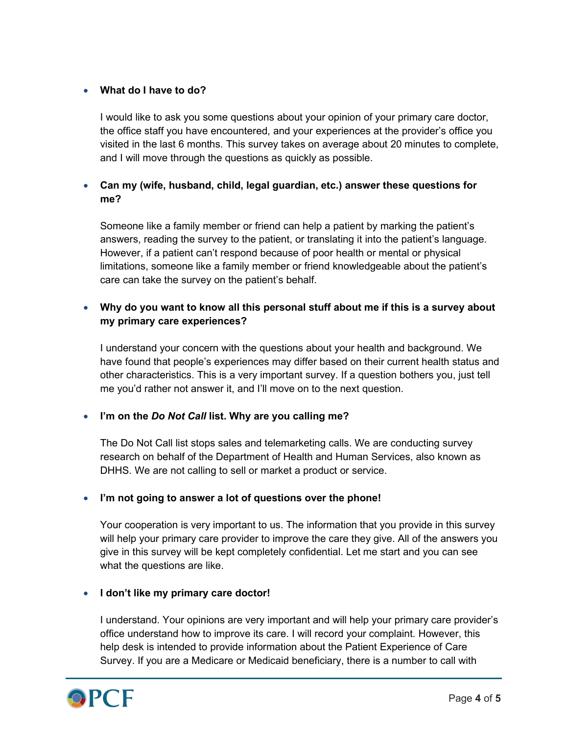### · **What do I have to do?**

I would like to ask you some questions about your opinion of your primary care doctor, the office staff you have encountered, and your experiences at the provider's office you visited in the last 6 months. This survey takes on average about 20 minutes to complete, and I will move through the questions as quickly as possible.

# · **Can my (wife, husband, child, legal guardian, etc.) answer these questions for me?**

Someone like a family member or friend can help a patient by marking the patient's answers, reading the survey to the patient, or translating it into the patient's language. However, if a patient can't respond because of poor health or mental or physical limitations, someone like a family member or friend knowledgeable about the patient's care can take the survey on the patient's behalf.

### · **Why do you want to know all this personal stuff about me if this is a survey about my primary care experiences?**

I understand your concern with the questions about your health and background. We have found that people's experiences may differ based on their current health status and other characteristics. This is a very important survey. If a question bothers you, just tell me you'd rather not answer it, and I'll move on to the next question.

### · **I'm on the** *Do Not Call* **list. Why are you calling me?**

The Do Not Call list stops sales and telemarketing calls. We are conducting survey research on behalf of the Department of Health and Human Services, also known as DHHS. We are not calling to sell or market a product or service.

### · **I'm not going to answer a lot of questions over the phone!**

Your cooperation is very important to us. The information that you provide in this survey will help your primary care provider to improve the care they give. All of the answers you give in this survey will be kept completely confidential. Let me start and you can see what the questions are like.

### · **I don't like my primary care doctor!**

I understand. Your opinions are very important and will help your primary care provider's office understand how to improve its care. I will record your complaint. However, this help desk is intended to provide information about the Patient Experience of Care Survey. If you are a Medicare or Medicaid beneficiary, there is a number to call with